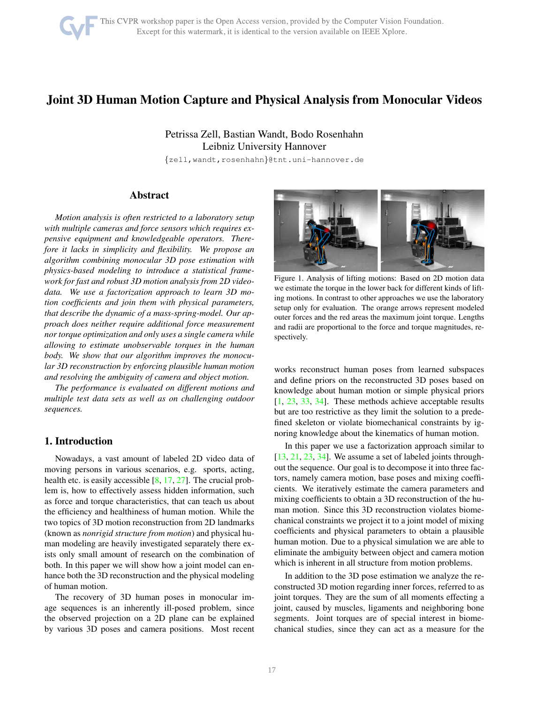# <span id="page-0-1"></span>Joint 3D Human Motion Capture and Physical Analysis from Monocular Videos

Petrissa Zell, Bastian Wandt, Bodo Rosenhahn Leibniz University Hannover

{zell,wandt,rosenhahn}@tnt.uni-hannover.de

# Abstract

*Motion analysis is often restricted to a laboratory setup with multiple cameras and force sensors which requires expensive equipment and knowledgeable operators. Therefore it lacks in simplicity and flexibility. We propose an algorithm combining monocular 3D pose estimation with physics-based modeling to introduce a statistical framework for fast and robust 3D motion analysis from 2D videodata. We use a factorization approach to learn 3D motion coefficients and join them with physical parameters, that describe the dynamic of a mass-spring-model. Our approach does neither require additional force measurement nor torque optimization and only uses a single camera while allowing to estimate unobservable torques in the human body. We show that our algorithm improves the monocular 3D reconstruction by enforcing plausible human motion and resolving the ambiguity of camera and object motion.*

*The performance is evaluated on different motions and multiple test data sets as well as on challenging outdoor sequences.*

# 1. Introduction

Nowadays, a vast amount of labeled 2D video data of moving persons in various scenarios, e.g. sports, acting, health etc. is easily accessible [\[8,](#page-8-0) [17,](#page-8-1) [27\]](#page-8-2). The crucial problem is, how to effectively assess hidden information, such as force and torque characteristics, that can teach us about the efficiency and healthiness of human motion. While the two topics of 3D motion reconstruction from 2D landmarks (known as *nonrigid structure from motion*) and physical human modeling are heavily investigated separately there exists only small amount of research on the combination of both. In this paper we will show how a joint model can enhance both the 3D reconstruction and the physical modeling of human motion.

The recovery of 3D human poses in monocular image sequences is an inherently ill-posed problem, since the observed projection on a 2D plane can be explained by various 3D poses and camera positions. Most recent



<span id="page-0-0"></span>Figure 1. Analysis of lifting motions: Based on 2D motion data we estimate the torque in the lower back for different kinds of lifting motions. In contrast to other approaches we use the laboratory setup only for evaluation. The orange arrows represent modeled outer forces and the red areas the maximum joint torque. Lengths and radii are proportional to the force and torque magnitudes, respectively.

works reconstruct human poses from learned subspaces and define priors on the reconstructed 3D poses based on knowledge about human motion or simple physical priors [\[1,](#page-7-0) [23,](#page-8-3) [33,](#page-8-4) [34\]](#page-8-5). These methods achieve acceptable results but are too restrictive as they limit the solution to a predefined skeleton or violate biomechanical constraints by ignoring knowledge about the kinematics of human motion.

In this paper we use a factorization approach similar to [\[13,](#page-8-6) [21,](#page-8-7) [23,](#page-8-3) [34\]](#page-8-5). We assume a set of labeled joints throughout the sequence. Our goal is to decompose it into three factors, namely camera motion, base poses and mixing coefficients. We iteratively estimate the camera parameters and mixing coefficients to obtain a 3D reconstruction of the human motion. Since this 3D reconstruction violates biomechanical constraints we project it to a joint model of mixing coefficients and physical parameters to obtain a plausible human motion. Due to a physical simulation we are able to eliminate the ambiguity between object and camera motion which is inherent in all structure from motion problems.

In addition to the 3D pose estimation we analyze the reconstructed 3D motion regarding inner forces, referred to as joint torques. They are the sum of all moments effecting a joint, caused by muscles, ligaments and neighboring bone segments. Joint torques are of special interest in biomechanical studies, since they can act as a measure for the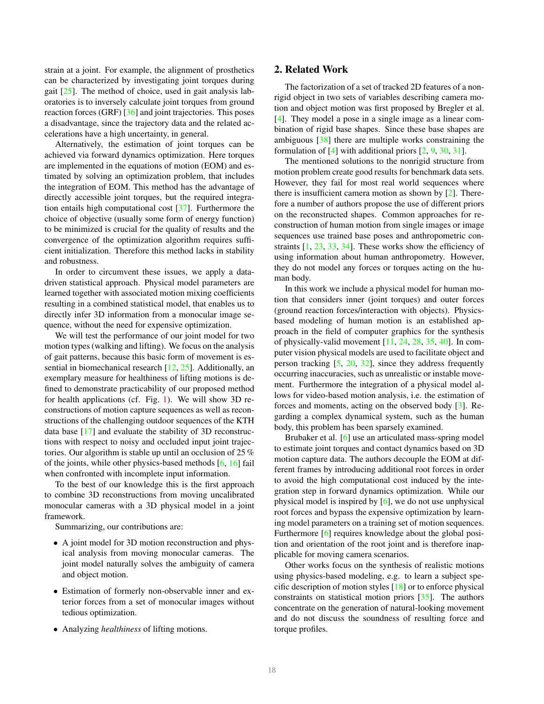<span id="page-1-0"></span>strain at a joint. For example, the alignment of prosthetics can be characterized by investigating joint torques during gait  $[25]$ . The method of choice, used in gait analysis laboratories is to inversely calculate joint torques from ground reaction forces (GRF) [\[36\]](#page-8-9) and joint trajectories. This poses a disadvantage, since the trajectory data and the related accelerations have a high uncertainty, in general.

Alternatively, the estimation of joint torques can be achieved via forward dynamics optimization. Here torques are implemented in the equations of motion (EOM) and estimated by solving an optimization problem, that includes the integration of EOM. This method has the advantage of directly accessible joint torques, but the required integration entails high computational cost [\[37\]](#page-8-10). Furthermore the choice of objective (usually some form of energy function) to be minimized is crucial for the quality of results and the convergence of the optimization algorithm requires sufficient initialization. Therefore this method lacks in stability and robustness.

In order to circumvent these issues, we apply a datadriven statistical approach. Physical model parameters are learned together with associated motion mixing coefficients resulting in a combined statistical model, that enables us to directly infer 3D information from a monocular image sequence, without the need for expensive optimization.

We will test the performance of our joint model for two motion types (walking and lifting). We focus on the analysis of gait patterns, because this basic form of movement is essential in biomechanical research  $[12, 25]$  $[12, 25]$ . Additionally, an exemplary measure for healthiness of lifting motions is defined to demonstrate practicability of our proposed method for health applications (cf. Fig. [1\)](#page-0-0). We will show 3D reconstructions of motion capture sequences as well as reconstructions of the challenging outdoor sequences of the KTH data base [\[17\]](#page-8-1) and evaluate the stability of 3D reconstructions with respect to noisy and occluded input joint trajectories. Our algorithm is stable up until an occlusion of 25 % of the joints, while other physics-based methods [\[6,](#page-7-1) [16\]](#page-8-12) fail when confronted with incomplete input information.

To the best of our knowledge this is the first approach to combine 3D reconstructions from moving uncalibrated monocular cameras with a 3D physical model in a joint framework.

Summarizing, our contributions are:

- A joint model for 3D motion reconstruction and physical analysis from moving monocular cameras. The joint model naturally solves the ambiguity of camera and object motion.
- Estimation of formerly non-observable inner and exterior forces from a set of monocular images without tedious optimization.
- Analyzing *healthiness* of lifting motions.

# 2. Related Work

The factorization of a set of tracked 2D features of a nonrigid object in two sets of variables describing camera motion and object motion was first proposed by Bregler et al. [\[4\]](#page-7-2). They model a pose in a single image as a linear combination of rigid base shapes. Since these base shapes are ambiguous [\[38\]](#page-8-13) there are multiple works constraining the formulation of [\[4\]](#page-7-2) with additional priors [\[2,](#page-7-3) [9,](#page-8-14) [30,](#page-8-15) [31\]](#page-8-16).

The mentioned solutions to the nonrigid structure from motion problem create good results for benchmark data sets. However, they fail for most real world sequences where there is insufficient camera motion as shown by [\[2\]](#page-7-3). Therefore a number of authors propose the use of different priors on the reconstructed shapes. Common approaches for reconstruction of human motion from single images or image sequences use trained base poses and anthropometric constraints [\[1,](#page-7-0) [23,](#page-8-3) [33,](#page-8-4) [34\]](#page-8-5). These works show the efficiency of using information about human anthropometry. However, they do not model any forces or torques acting on the human body.

In this work we include a physical model for human motion that considers inner (joint torques) and outer forces (ground reaction forces/interaction with objects). Physicsbased modeling of human motion is an established approach in the field of computer graphics for the synthesis of physically-valid movement [\[11,](#page-8-17) [24,](#page-8-18) [28,](#page-8-19) [35,](#page-8-20) [40\]](#page-9-0). In computer vision physical models are used to facilitate object and person tracking [\[5,](#page-7-4) [20,](#page-8-21) [32\]](#page-8-22), since they address frequently occurring inaccuracies, such as unrealistic or instable movement. Furthermore the integration of a physical model allows for video-based motion analysis, i.e. the estimation of forces and moments, acting on the observed body [\[3\]](#page-7-5). Regarding a complex dynamical system, such as the human body, this problem has been sparsely examined.

Brubaker et al. [\[6\]](#page-7-1) use an articulated mass-spring model to estimate joint torques and contact dynamics based on 3D motion capture data. The authors decouple the EOM at different frames by introducing additional root forces in order to avoid the high computational cost induced by the integration step in forward dynamics optimization. While our physical model is inspired by [\[6\]](#page-7-1), we do not use unphysical root forces and bypass the expensive optimization by learning model parameters on a training set of motion sequences. Furthermore [\[6\]](#page-7-1) requires knowledge about the global position and orientation of the root joint and is therefore inapplicable for moving camera scenarios.

Other works focus on the synthesis of realistic motions using physics-based modeling, e.g. to learn a subject specific description of motion styles [\[18\]](#page-8-23) or to enforce physical constraints on statistical motion priors [\[35\]](#page-8-20). The authors concentrate on the generation of natural-looking movement and do not discuss the soundness of resulting force and torque profiles.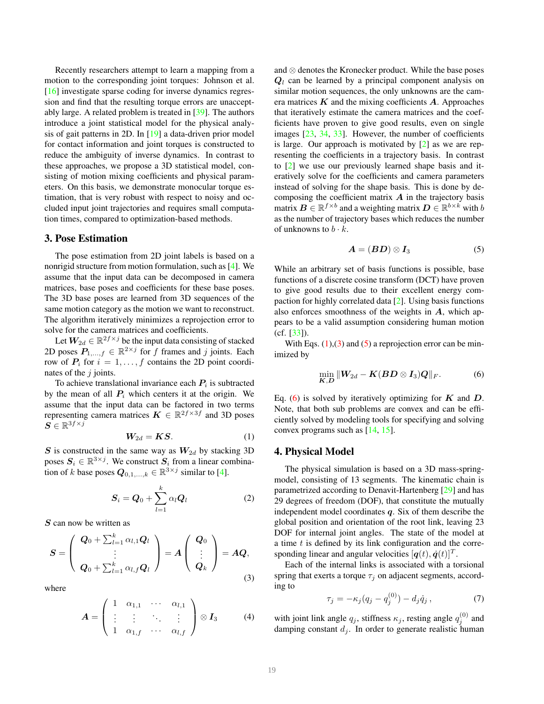<span id="page-2-7"></span>Recently researchers attempt to learn a mapping from a motion to the corresponding joint torques: Johnson et al. [\[16\]](#page-8-12) investigate sparse coding for inverse dynamics regression and find that the resulting torque errors are unacceptably large. A related problem is treated in [\[39\]](#page-9-1). The authors introduce a joint statistical model for the physical analysis of gait patterns in 2D. In [\[19\]](#page-8-24) a data-driven prior model for contact information and joint torques is constructed to reduce the ambiguity of inverse dynamics. In contrast to these approaches, we propose a 3D statistical model, consisting of motion mixing coefficients and physical parameters. On this basis, we demonstrate monocular torque estimation, that is very robust with respect to noisy and occluded input joint trajectories and requires small computation times, compared to optimization-based methods.

# <span id="page-2-5"></span>3. Pose Estimation

The pose estimation from 2D joint labels is based on a nonrigid structure from motion formulation, such as [\[4\]](#page-7-2). We assume that the input data can be decomposed in camera matrices, base poses and coefficients for these base poses. The 3D base poses are learned from 3D sequences of the same motion category as the motion we want to reconstruct. The algorithm iteratively minimizes a reprojection error to solve for the camera matrices and coefficients.

Let  $W_{2d} \in \mathbb{R}^{2f \times j}$  be the input data consisting of stacked 2D poses  $P_{1,...,f} \in \mathbb{R}^{2 \times j}$  for f frames and j joints. Each row of  $P_i$  for  $i = 1, \ldots, f$  contains the 2D point coordinates of the  $i$  joints.

To achieve translational invariance each  $P_i$  is subtracted by the mean of all  $P_i$  which centers it at the origin. We assume that the input data can be factored in two terms representing camera matrices  $\mathbf{K} \in \mathbb{R}^{2f \times 3f}$  and 3D poses  $\vec{S} \in \mathbb{R}^{3f \times j}$ 

<span id="page-2-0"></span>
$$
W_{2d} = KS.\t\t(1)
$$

S is constructed in the same way as  $W_{2d}$  by stacking 3D poses  $S_i \in \mathbb{R}^{3 \times j}$ . We construct  $S_i$  from a linear combination of k base poses  $Q_{0,1,...,k} \in \mathbb{R}^{3 \times j}$  similar to [\[4\]](#page-7-2).

$$
S_i = Q_0 + \sum_{l=1}^k \alpha_l Q_l \tag{2}
$$

S can now be written as

<span id="page-2-1"></span>
$$
S = \left(\begin{array}{c} \boldsymbol{Q}_0 + \sum_{l=1}^k \alpha_{l,1} \boldsymbol{Q}_l \\ \vdots \\ \boldsymbol{Q}_0 + \sum_{l=1}^k \alpha_{l,f} \boldsymbol{Q}_l \end{array}\right) = \boldsymbol{A} \left(\begin{array}{c} \boldsymbol{Q}_0 \\ \vdots \\ \boldsymbol{Q}_k \end{array}\right) = \boldsymbol{A} \boldsymbol{Q}, \tag{3}
$$

where

$$
\boldsymbol{A} = \left( \begin{array}{cccc} 1 & \alpha_{1,1} & \cdots & \alpha_{l,1} \\ \vdots & \vdots & \ddots & \vdots \\ 1 & \alpha_{1,f} & \cdots & \alpha_{l,f} \end{array} \right) \otimes \boldsymbol{I}_3 \qquad (4)
$$

and ⊗ denotes the Kronecker product. While the base poses  $Q_l$  can be learned by a principal component analysis on similar motion sequences, the only unknowns are the camera matrices  $K$  and the mixing coefficients  $A$ . Approaches that iteratively estimate the camera matrices and the coefficients have proven to give good results, even on single images [\[23,](#page-8-3) [34,](#page-8-5) [33\]](#page-8-4). However, the number of coefficients is large. Our approach is motivated by [\[2\]](#page-7-3) as we are representing the coefficients in a trajectory basis. In contrast to [\[2\]](#page-7-3) we use our previously learned shape basis and iteratively solve for the coefficients and camera parameters instead of solving for the shape basis. This is done by decomposing the coefficient matrix  $\boldsymbol{A}$  in the trajectory basis matrix  $\mathbf{B} \in \mathbb{R}^{f \times b}$  and a weighting matrix  $\mathbf{D} \in \mathbb{R}^{b \times k}$  with b as the number of trajectory bases which reduces the number of unknowns to  $b \cdot k$ .

<span id="page-2-2"></span>
$$
A = (BD) \otimes I_3 \tag{5}
$$

While an arbitrary set of basis functions is possible, base functions of a discrete cosine transform (DCT) have proven to give good results due to their excellent energy compaction for highly correlated data [\[2\]](#page-7-3). Using basis functions also enforces smoothness of the weights in  $A$ , which appears to be a valid assumption considering human motion  $(cf. [33]).$  $(cf. [33]).$  $(cf. [33]).$ 

With Eqs.  $(1)$ ,  $(3)$  and  $(5)$  a reprojection error can be minimized by

<span id="page-2-3"></span>
$$
\min_{\boldsymbol{K},\boldsymbol{D}}\|\boldsymbol{W}_{2d}-\boldsymbol{K}(\boldsymbol{B}\boldsymbol{D}\otimes\boldsymbol{I}_{3})\boldsymbol{Q}\|_{F}.\tag{6}
$$

Eq. [\(6\)](#page-2-3) is solved by iteratively optimizing for  $K$  and  $D$ . Note, that both sub problems are convex and can be efficiently solved by modeling tools for specifying and solving convex programs such as [\[14,](#page-8-25) [15\]](#page-8-26).

# <span id="page-2-6"></span>4. Physical Model

The physical simulation is based on a 3D mass-springmodel, consisting of 13 segments. The kinematic chain is parametrized according to Denavit-Hartenberg [\[29\]](#page-8-27) and has 29 degrees of freedom (DOF), that constitute the mutually independent model coordinates  $q$ . Six of them describe the global position and orientation of the root link, leaving 23 DOF for internal joint angles. The state of the model at a time  $t$  is defined by its link configuration and the corresponding linear and angular velocities  $[q(t), \dot{q}(t)]^T$ .

Each of the internal links is associated with a torsional spring that exerts a torque  $\tau_j$  on adjacent segments, according to

<span id="page-2-4"></span>
$$
\tau_j = -\kappa_j (q_j - q_j^{(0)}) - d_j \dot{q}_j , \qquad (7)
$$

with joint link angle  $q_j$ , stiffness  $\kappa_j$ , resting angle  $q_j^{(0)}$  and damping constant  $d_j$ . In order to generate realistic human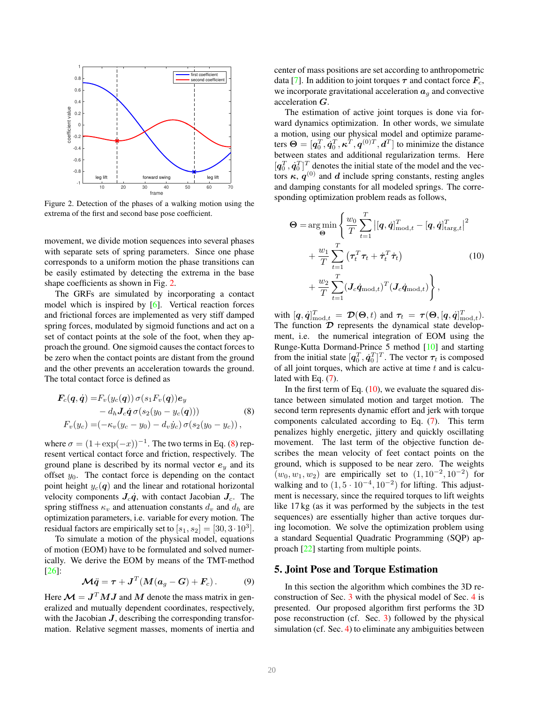<span id="page-3-4"></span>

<span id="page-3-0"></span>Figure 2. Detection of the phases of a walking motion using the extrema of the first and second base pose coefficient.

movement, we divide motion sequences into several phases with separate sets of spring parameters. Since one phase corresponds to a uniform motion the phase transitions can be easily estimated by detecting the extrema in the base shape coefficients as shown in Fig. [2.](#page-3-0)

The GRFs are simulated by incorporating a contact model which is inspired by [\[6\]](#page-7-1). Vertical reaction forces and frictional forces are implemented as very stiff damped spring forces, modulated by sigmoid functions and act on a set of contact points at the sole of the foot, when they approach the ground. One sigmoid causes the contact forces to be zero when the contact points are distant from the ground and the other prevents an acceleration towards the ground. The total contact force is defined as

$$
\mathbf{F}_c(\mathbf{q}, \dot{\mathbf{q}}) = F_v(y_c(\mathbf{q})) \sigma(s_1 F_v(\mathbf{q})) e_y \n- d_h J_c \dot{\mathbf{q}} \sigma(s_2 (y_0 - y_c(\mathbf{q}))) \nF_v(y_c) = (-\kappa_v (y_c - y_0) - d_v \dot{y}_c) \sigma(s_2 (y_0 - y_c)),
$$
\n(8)

where  $\sigma = (1 + \exp(-x))^{-1}$ . The two terms in Eq. [\(8\)](#page-3-1) represent vertical contact force and friction, respectively. The ground plane is described by its normal vector  $e_y$  and its offset  $y_0$ . The contact force is depending on the contact point height  $y_c(q)$  and the linear and rotational horizontal velocity components  $J_c \dot{q}$ , with contact Jacobian  $J_c$ . The spring stiffness  $\kappa_v$  and attenuation constants  $d_v$  and  $d_h$  are optimization parameters, i.e. variable for every motion. The residual factors are empirically set to  $[s_1, s_2] = [30, 3 \cdot 10^3]$ .

To simulate a motion of the physical model, equations of motion (EOM) have to be formulated and solved numerically. We derive the EOM by means of the TMT-method [\[26\]](#page-8-28):

$$
\mathcal{M}\ddot{q} = \tau + J^T (M(a_g - G) + F_c).
$$
 (9)

Here  $\mathcal{M} = J^T M J$  and  $M$  denote the mass matrix in generalized and mutually dependent coordinates, respectively, with the Jacobian  $J$ , describing the corresponding transformation. Relative segment masses, moments of inertia and center of mass positions are set according to anthropometric data [\[7\]](#page-8-29). In addition to joint torques  $\tau$  and contact force  $F_c$ , we incorporate gravitational acceleration  $a<sub>q</sub>$  and convective acceleration G.

The estimation of active joint torques is done via forward dynamics optimization. In other words, we simulate a motion, using our physical model and optimize parameters  $\mathbf{\Theta} = [\mathbf{q}_0^T, \dot{\mathbf{q}}_0^T, \boldsymbol{\kappa}^T, \mathbf{q}^{(0)T}, \mathbf{d}^T]$  to minimize the distance between states and additional regularization terms. Here  $[q_0^T, \dot{q}_0^T]^T$  denotes the initial state of the model and the vectors  $\kappa$ ,  $q^{(0)}$  and d include spring constants, resting angles and damping constants for all modeled springs. The corresponding optimization problem reads as follows,

<span id="page-3-2"></span>
$$
\Theta = \arg\min_{\Theta} \left\{ \frac{w_0}{T} \sum_{t=1}^T \left| [\boldsymbol{q}, \dot{\boldsymbol{q}}]_{\text{mod},t}^T - [\boldsymbol{q}, \dot{\boldsymbol{q}}]_{\text{targ},t}^T \right|^2 + \frac{w_1}{T} \sum_{t=1}^T \left( \boldsymbol{\tau}_t^T \boldsymbol{\tau}_t + \dot{\boldsymbol{\tau}}_t^T \dot{\boldsymbol{\tau}}_t \right) \qquad (10) + \frac{w_2}{T} \sum_{t=1}^T (\boldsymbol{J}_c \dot{\boldsymbol{q}}_{\text{mod},t})^T (\boldsymbol{J}_c \dot{\boldsymbol{q}}_{\text{mod},t}) \right\},
$$

with  $[q, \dot{q}]_{\text{mod},t}^T = \mathcal{D}(\Theta, t)$  and  $\tau_t = \tau(\Theta, [q, \dot{q}]_{\text{mod},t}^T)$ . The function  $\mathcal D$  represents the dynamical state development, i.e. the numerical integration of EOM using the Runge-Kutta Dormand-Prince 5 method [\[10\]](#page-8-30) and starting from the initial state  $[q_0^T, \dot{q}_0^T]^T$ . The vector  $\tau_t$  is composed of all joint torques, which are active at time  $t$  and is calculated with Eq. [\(7\)](#page-2-4).

<span id="page-3-1"></span>In the first term of Eq.  $(10)$ , we evaluate the squared distance between simulated motion and target motion. The second term represents dynamic effort and jerk with torque components calculated according to Eq. [\(7\)](#page-2-4). This term penalizes highly energetic, jittery and quickly oscillating movement. The last term of the objective function describes the mean velocity of feet contact points on the ground, which is supposed to be near zero. The weights  $(w_0, w_1, w_2)$  are empirically set to  $(1, 10^{-2}, 10^{-2})$  for walking and to  $(1, 5 \cdot 10^{-4}, 10^{-2})$  for lifting. This adjustment is necessary, since the required torques to lift weights like 17 kg (as it was performed by the subjects in the test sequences) are essentially higher than active torques during locomotion. We solve the optimization problem using a standard Sequential Quadratic Programming (SQP) approach [\[22\]](#page-8-31) starting from multiple points.

## <span id="page-3-3"></span>5. Joint Pose and Torque Estimation

In this section the algorithm which combines the 3D reconstruction of Sec. [3](#page-2-5) with the physical model of Sec. [4](#page-2-6) is presented. Our proposed algorithm first performs the 3D pose reconstruction (cf. Sec. [3\)](#page-2-5) followed by the physical simulation (cf. Sec. [4\)](#page-2-6) to eliminate any ambiguities between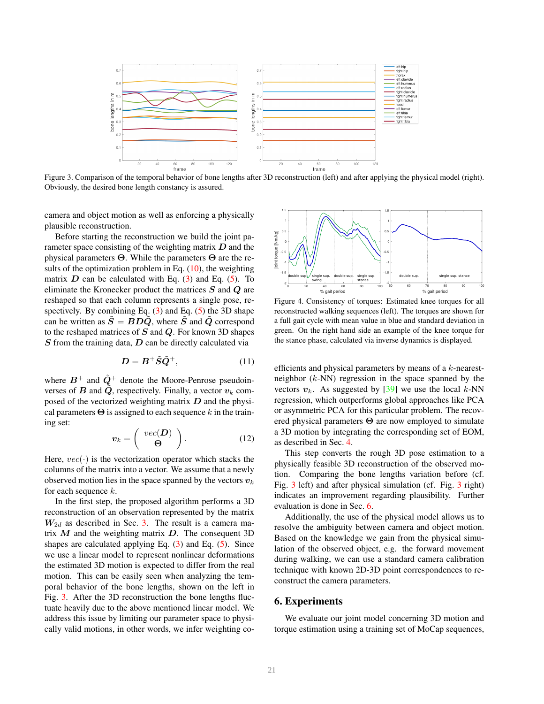<span id="page-4-3"></span>

<span id="page-4-0"></span>Figure 3. Comparison of the temporal behavior of bone lengths after 3D reconstruction (left) and after applying the physical model (right). Obviously, the desired bone length constancy is assured.

camera and object motion as well as enforcing a physically plausible reconstruction.

Before starting the reconstruction we build the joint parameter space consisting of the weighting matrix  $D$  and the physical parameters  $Θ$ . While the parameters  $Θ$  are the results of the optimization problem in Eq.  $(10)$ , the weighting matrix  $D$  can be calculated with Eq. [\(3\)](#page-2-1) and Eq. [\(5\)](#page-2-2). To eliminate the Kronecker product the matrices S and Q are reshaped so that each column represents a single pose, respectively. By combining Eq.  $(3)$  and Eq.  $(5)$  the 3D shape can be written as  $\tilde{S} = BD\tilde{Q}$ , where  $\tilde{S}$  and  $\tilde{Q}$  correspond to the reshaped matrices of  $S$  and  $Q$ . For known 3D shapes  $S$  from the training data,  $D$  can be directly calculated via

$$
D = B^+ \tilde{S} \tilde{Q}^+, \tag{11}
$$

where  $B^+$  and  $\tilde{Q}^+$  denote the Moore-Penrose pseudoinverses of B and  $\tilde{Q}$ , respectively. Finally, a vector  $v_k$  composed of the vectorized weighting matrix  $D$  and the physical parameters  $\Theta$  is assigned to each sequence k in the training set:

$$
\boldsymbol{v}_k = \left(\begin{array}{c} \textit{vec}(\boldsymbol{D}) \\ \boldsymbol{\Theta} \end{array}\right). \tag{12}
$$

Here,  $vec(\cdot)$  is the vectorization operator which stacks the columns of the matrix into a vector. We assume that a newly observed motion lies in the space spanned by the vectors  $v_k$ for each sequence  $k$ .

In the first step, the proposed algorithm performs a 3D reconstruction of an observation represented by the matrix  $W_{2d}$  as described in Sec. [3.](#page-2-5) The result is a camera matrix  $M$  and the weighting matrix  $D$ . The consequent 3D shapes are calculated applying Eq.  $(3)$  and Eq.  $(5)$ . Since we use a linear model to represent nonlinear deformations the estimated 3D motion is expected to differ from the real motion. This can be easily seen when analyzing the temporal behavior of the bone lengths, shown on the left in Fig. [3.](#page-4-0) After the 3D reconstruction the bone lengths fluctuate heavily due to the above mentioned linear model. We address this issue by limiting our parameter space to physically valid motions, in other words, we infer weighting co-



<span id="page-4-2"></span>Figure 4. Consistency of torques: Estimated knee torques for all reconstructed walking sequences (left). The torques are shown for a full gait cycle with mean value in blue and standard deviation in green. On the right hand side an example of the knee torque for the stance phase, calculated via inverse dynamics is displayed.

efficients and physical parameters by means of a k-nearestneighbor  $(k-NN)$  regression in the space spanned by the vectors  $v_k$ . As suggested by [\[39\]](#page-9-1) we use the local k-NN regression, which outperforms global approaches like PCA or asymmetric PCA for this particular problem. The recovered physical parameters  $\Theta$  are now employed to simulate a 3D motion by integrating the corresponding set of EOM, as described in Sec. [4.](#page-2-6)

This step converts the rough 3D pose estimation to a physically feasible 3D reconstruction of the observed motion. Comparing the bone lengths variation before (cf. Fig. [3](#page-4-0) left) and after physical simulation (cf. Fig. [3](#page-4-0) right) indicates an improvement regarding plausibility. Further evaluation is done in Sec. [6.](#page-4-1)

Additionally, the use of the physical model allows us to resolve the ambiguity between camera and object motion. Based on the knowledge we gain from the physical simulation of the observed object, e.g. the forward movement during walking, we can use a standard camera calibration technique with known 2D-3D point correspondences to reconstruct the camera parameters.

# <span id="page-4-1"></span>6. Experiments

We evaluate our joint model concerning 3D motion and torque estimation using a training set of MoCap sequences,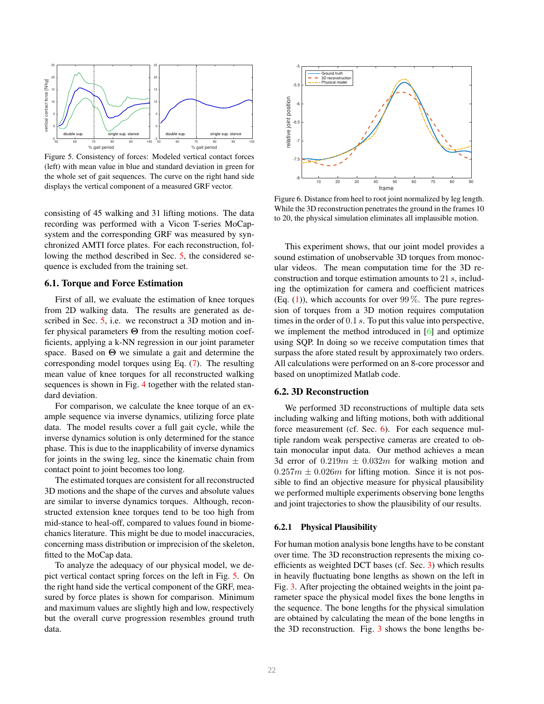<span id="page-5-3"></span>

<span id="page-5-0"></span>Figure 5. Consistency of forces: Modeled vertical contact forces (left) with mean value in blue and standard deviation in green for the whole set of gait sequences. The curve on the right hand side displays the vertical component of a measured GRF vector.

consisting of 45 walking and 31 lifting motions. The data recording was performed with a Vicon T-series MoCapsystem and the corresponding GRF was measured by synchronized AMTI force plates. For each reconstruction, following the method described in Sec. [5,](#page-3-3) the considered sequence is excluded from the training set.

## <span id="page-5-2"></span>6.1. Torque and Force Estimation

First of all, we evaluate the estimation of knee torques from 2D walking data. The results are generated as described in Sec. [5,](#page-3-3) i.e. we reconstruct a 3D motion and infer physical parameters Θ from the resulting motion coefficients, applying a k-NN regression in our joint parameter space. Based on  $\Theta$  we simulate a gait and determine the corresponding model torques using Eq. [\(7\)](#page-2-4). The resulting mean value of knee torques for all reconstructed walking sequences is shown in Fig. [4](#page-4-2) together with the related standard deviation.

For comparison, we calculate the knee torque of an example sequence via inverse dynamics, utilizing force plate data. The model results cover a full gait cycle, while the inverse dynamics solution is only determined for the stance phase. This is due to the inapplicability of inverse dynamics for joints in the swing leg, since the kinematic chain from contact point to joint becomes too long.

The estimated torques are consistent for all reconstructed 3D motions and the shape of the curves and absolute values are similar to inverse dynamics torques. Although, reconstructed extension knee torques tend to be too high from mid-stance to heal-off, compared to values found in biomechanics literature. This might be due to model inaccuracies, concerning mass distribution or imprecision of the skeleton, fitted to the MoCap data.

To analyze the adequacy of our physical model, we depict vertical contact spring forces on the left in Fig. [5.](#page-5-0) On the right hand side the vertical component of the GRF, measured by force plates is shown for comparison. Minimum and maximum values are slightly high and low, respectively but the overall curve progression resembles ground truth data.



<span id="page-5-1"></span>Figure 6. Distance from heel to root joint normalized by leg length. While the 3D reconstruction penetrates the ground in the frames 10 to 20, the physical simulation eliminates all implausible motion.

This experiment shows, that our joint model provides a sound estimation of unobservable 3D torques from monocular videos. The mean computation time for the 3D reconstruction and torque estimation amounts to 21 s, including the optimization for camera and coefficient matrices (Eq.  $(1)$ ), which accounts for over 99%. The pure regression of torques from a 3D motion requires computation times in the order of 0.1 s. To put this value into perspective, we implement the method introduced in [\[6\]](#page-7-1) and optimize using SQP. In doing so we receive computation times that surpass the afore stated result by approximately two orders. All calculations were performed on an 8-core processor and based on unoptimized Matlab code.

#### 6.2. 3D Reconstruction

We performed 3D reconstructions of multiple data sets including walking and lifting motions, both with additional force measurement (cf. Sec. [6\)](#page-4-1). For each sequence multiple random weak perspective cameras are created to obtain monocular input data. Our method achieves a mean 3d error of  $0.219m \pm 0.032m$  for walking motion and  $0.257m \pm 0.026m$  for lifting motion. Since it is not possible to find an objective measure for physical plausibility we performed multiple experiments observing bone lengths and joint trajectories to show the plausibility of our results.

#### 6.2.1 Physical Plausibility

For human motion analysis bone lengths have to be constant over time. The 3D reconstruction represents the mixing coefficients as weighted DCT bases (cf. Sec. [3\)](#page-2-5) which results in heavily fluctuating bone lengths as shown on the left in Fig. [3.](#page-4-0) After projecting the obtained weights in the joint parameter space the physical model fixes the bone lengths in the sequence. The bone lengths for the physical simulation are obtained by calculating the mean of the bone lengths in the 3D reconstruction. Fig. [3](#page-4-0) shows the bone lengths be-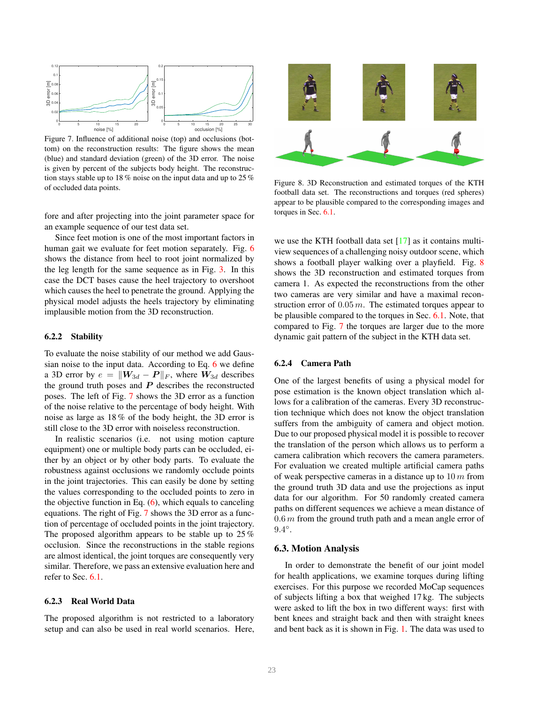<span id="page-6-2"></span>

<span id="page-6-0"></span>Figure 7. Influence of additional noise (top) and occlusions (bottom) on the reconstruction results: The figure shows the mean (blue) and standard deviation (green) of the 3D error. The noise is given by percent of the subjects body height. The reconstruction stays stable up to 18 % noise on the input data and up to 25 % of occluded data points.

fore and after projecting into the joint parameter space for an example sequence of our test data set.

Since feet motion is one of the most important factors in human gait we evaluate for feet motion separately. Fig. [6](#page-5-1) shows the distance from heel to root joint normalized by the leg length for the same sequence as in Fig. [3.](#page-4-0) In this case the DCT bases cause the heel trajectory to overshoot which causes the heel to penetrate the ground. Applying the physical model adjusts the heels trajectory by eliminating implausible motion from the 3D reconstruction.

#### 6.2.2 Stability

To evaluate the noise stability of our method we add Gaussian noise to the input data. According to Eq. [6](#page-2-3) we define a 3D error by  $e = ||W_{3d} - P||_F$ , where  $W_{3d}$  describes the ground truth poses and  $P$  describes the reconstructed poses. The left of Fig. [7](#page-6-0) shows the 3D error as a function of the noise relative to the percentage of body height. With noise as large as 18 % of the body height, the 3D error is still close to the 3D error with noiseless reconstruction.

In realistic scenarios (i.e. not using motion capture equipment) one or multiple body parts can be occluded, either by an object or by other body parts. To evaluate the robustness against occlusions we randomly occlude points in the joint trajectories. This can easily be done by setting the values corresponding to the occluded points to zero in the objective function in Eq.  $(6)$ , which equals to canceling equations. The right of Fig. [7](#page-6-0) shows the 3D error as a function of percentage of occluded points in the joint trajectory. The proposed algorithm appears to be stable up to 25 % occlusion. Since the reconstructions in the stable regions are almost identical, the joint torques are consequently very similar. Therefore, we pass an extensive evaluation here and refer to Sec. [6.1.](#page-5-2)

# 6.2.3 Real World Data

The proposed algorithm is not restricted to a laboratory setup and can also be used in real world scenarios. Here,



<span id="page-6-1"></span>Figure 8. 3D Reconstruction and estimated torques of the KTH football data set. The reconstructions and torques (red spheres) appear to be plausible compared to the corresponding images and torques in Sec. [6.1.](#page-5-2)

we use the KTH football data set  $[17]$  as it contains multiview sequences of a challenging noisy outdoor scene, which shows a football player walking over a playfield. Fig. [8](#page-6-1) shows the 3D reconstruction and estimated torques from camera 1. As expected the reconstructions from the other two cameras are very similar and have a maximal reconstruction error of  $0.05$  m. The estimated torques appear to be plausible compared to the torques in Sec. [6.1.](#page-5-2) Note, that compared to Fig. [7](#page-7-6) the torques are larger due to the more dynamic gait pattern of the subject in the KTH data set.

#### 6.2.4 Camera Path

One of the largest benefits of using a physical model for pose estimation is the known object translation which allows for a calibration of the cameras. Every 3D reconstruction technique which does not know the object translation suffers from the ambiguity of camera and object motion. Due to our proposed physical model it is possible to recover the translation of the person which allows us to perform a camera calibration which recovers the camera parameters. For evaluation we created multiple artificial camera paths of weak perspective cameras in a distance up to  $10 m$  from the ground truth 3D data and use the projections as input data for our algorithm. For 50 randomly created camera paths on different sequences we achieve a mean distance of  $0.6 \, \text{m}$  from the ground truth path and a mean angle error of  $9.4^{\circ}$ .

#### 6.3. Motion Analysis

In order to demonstrate the benefit of our joint model for health applications, we examine torques during lifting exercises. For this purpose we recorded MoCap sequences of subjects lifting a box that weighed 17 kg. The subjects were asked to lift the box in two different ways: first with bent knees and straight back and then with straight knees and bent back as it is shown in Fig. [1.](#page-0-0) The data was used to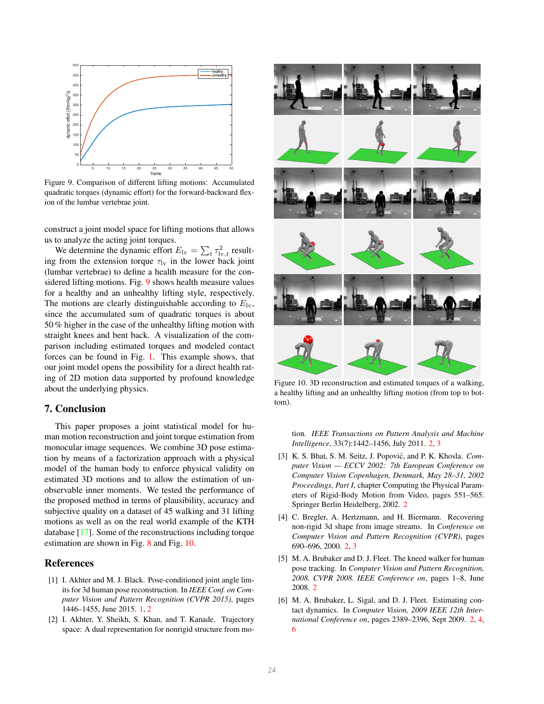<span id="page-7-9"></span>

<span id="page-7-7"></span>Figure 9. Comparison of different lifting motions: Accumulated quadratic torques (dynamic effort) for the forward-backward flexion of the lumbar vertebrae joint.

construct a joint model space for lifting motions that allows us to analyze the acting joint torques.

We determine the dynamic effort  $E_{1v} = \sum_{t} \tau_{1v,t}^2$  resulting from the extension torque  $\tau_{\rm lw}$  in the lower back joint (lumbar vertebrae) to define a health measure for the considered lifting motions. Fig. [9](#page-7-7) shows health measure values for a healthy and an unhealthy lifting style, respectively. The motions are clearly distinguishable according to  $E_{1v}$ , since the accumulated sum of quadratic torques is about 50 % higher in the case of the unhealthy lifting motion with straight knees and bent back. A visualization of the comparison including estimated torques and modeled contact forces can be found in Fig. [1.](#page-0-0) This example shows, that our joint model opens the possibility for a direct health rating of 2D motion data supported by profound knowledge about the underlying physics.

# <span id="page-7-6"></span>7. Conclusion

This paper proposes a joint statistical model for human motion reconstruction and joint torque estimation from monocular image sequences. We combine 3D pose estimation by means of a factorization approach with a physical model of the human body to enforce physical validity on estimated 3D motions and to allow the estimation of unobservable inner moments. We tested the performance of the proposed method in terms of plausibility, accuracy and subjective quality on a dataset of 45 walking and 31 lifting motions as well as on the real world example of the KTH database [\[17\]](#page-8-1). Some of the reconstructions including torque estimation are shown in Fig. [8](#page-6-1) and Fig. [10.](#page-7-8)

# References

- <span id="page-7-0"></span>[1] I. Akhter and M. J. Black. Pose-conditioned joint angle limits for 3d human pose reconstruction. In *IEEE Conf. on Computer Vision and Pattern Recognition (CVPR 2015)*, pages 1446–1455, June 2015. [1,](#page-0-1) [2](#page-1-0)
- <span id="page-7-3"></span>[2] I. Akhter, Y. Sheikh, S. Khan, and T. Kanade. Trajectory space: A dual representation for nonrigid structure from mo-



Figure 10. 3D reconstruction and estimated torques of a walking, a healthy lifting and an unhealthy lifting motion (from top to bottom).

<span id="page-7-8"></span>tion. *IEEE Transactions on Pattern Analysis and Machine Intelligence*, 33(7):1442–1456, July 2011. [2,](#page-1-0) [3](#page-2-7)

- <span id="page-7-5"></span>[3] K. S. Bhat, S. M. Seitz, J. Popović, and P. K. Khosla. *Computer Vision — ECCV 2002: 7th European Conference on Computer Vision Copenhagen, Denmark, May 28–31, 2002 Proceedings, Part I*, chapter Computing the Physical Parameters of Rigid-Body Motion from Video, pages 551–565. Springer Berlin Heidelberg, 2002. [2](#page-1-0)
- <span id="page-7-2"></span>[4] C. Bregler, A. Hertzmann, and H. Biermann. Recovering non-rigid 3d shape from image streams. In *Conference on Computer Vision and Pattern Recognition (CVPR)*, pages 690–696, 2000. [2,](#page-1-0) [3](#page-2-7)
- <span id="page-7-4"></span>[5] M. A. Brubaker and D. J. Fleet. The kneed walker for human pose tracking. In *Computer Vision and Pattern Recognition, 2008. CVPR 2008. IEEE Conference on*, pages 1–8, June 2008. [2](#page-1-0)
- <span id="page-7-1"></span>[6] M. A. Brubaker, L. Sigal, and D. J. Fleet. Estimating contact dynamics. In *Computer Vision, 2009 IEEE 12th International Conference on*, pages 2389–2396, Sept 2009. [2,](#page-1-0) [4,](#page-3-4) [6](#page-5-3)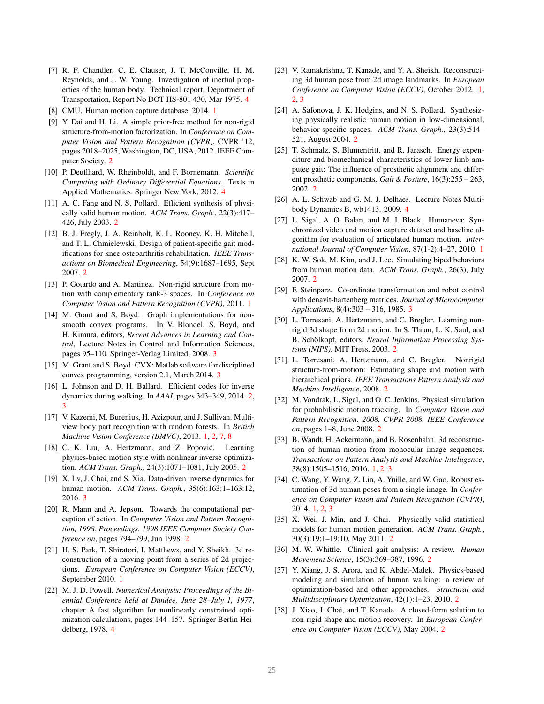- <span id="page-8-29"></span>[7] R. F. Chandler, C. E. Clauser, J. T. McConville, H. M. Reynolds, and J. W. Young. Investigation of inertial properties of the human body. Technical report, Department of Transportation, Report No DOT HS-801 430, Mar 1975. [4](#page-3-4)
- <span id="page-8-0"></span>[8] CMU. Human motion capture database, 2014. [1](#page-0-1)
- <span id="page-8-14"></span>[9] Y. Dai and H. Li. A simple prior-free method for non-rigid structure-from-motion factorization. In *Conference on Computer Vision and Pattern Recognition (CVPR)*, CVPR '12, pages 2018–2025, Washington, DC, USA, 2012. IEEE Computer Society. [2](#page-1-0)
- <span id="page-8-30"></span>[10] P. Deuflhard, W. Rheinboldt, and F. Bornemann. *Scientific Computing with Ordinary Differential Equations*. Texts in Applied Mathematics. Springer New York, 2012. [4](#page-3-4)
- <span id="page-8-17"></span>[11] A. C. Fang and N. S. Pollard. Efficient synthesis of physically valid human motion. *ACM Trans. Graph.*, 22(3):417– 426, July 2003. [2](#page-1-0)
- <span id="page-8-11"></span>[12] B. J. Fregly, J. A. Reinbolt, K. L. Rooney, K. H. Mitchell, and T. L. Chmielewski. Design of patient-specific gait modifications for knee osteoarthritis rehabilitation. *IEEE Transactions on Biomedical Engineering*, 54(9):1687–1695, Sept 2007. [2](#page-1-0)
- <span id="page-8-6"></span>[13] P. Gotardo and A. Martinez. Non-rigid structure from motion with complementary rank-3 spaces. In *Conference on Computer Vision and Pattern Recognition (CVPR)*, 2011. [1](#page-0-1)
- <span id="page-8-25"></span>[14] M. Grant and S. Boyd. Graph implementations for nonsmooth convex programs. In V. Blondel, S. Boyd, and H. Kimura, editors, *Recent Advances in Learning and Control*, Lecture Notes in Control and Information Sciences, pages 95–110. Springer-Verlag Limited, 2008. [3](#page-2-7)
- <span id="page-8-26"></span>[15] M. Grant and S. Boyd. CVX: Matlab software for disciplined convex programming, version 2.1, March 2014. [3](#page-2-7)
- <span id="page-8-12"></span>[16] L. Johnson and D. H. Ballard. Efficient codes for inverse dynamics during walking. In *AAAI*, pages 343–349, 2014. [2,](#page-1-0) [3](#page-2-7)
- <span id="page-8-1"></span>[17] V. Kazemi, M. Burenius, H. Azizpour, and J. Sullivan. Multiview body part recognition with random forests. In *British Machine Vision Conference (BMVC)*, 2013. [1,](#page-0-1) [2,](#page-1-0) [7,](#page-6-2) [8](#page-7-9)
- <span id="page-8-23"></span>[18] C. K. Liu, A. Hertzmann, and Z. Popović. Learning physics-based motion style with nonlinear inverse optimization. *ACM Trans. Graph.*, 24(3):1071–1081, July 2005. [2](#page-1-0)
- <span id="page-8-24"></span>[19] X. Lv, J. Chai, and S. Xia. Data-driven inverse dynamics for human motion. *ACM Trans. Graph.*, 35(6):163:1–163:12, 2016. [3](#page-2-7)
- <span id="page-8-21"></span>[20] R. Mann and A. Jepson. Towards the computational perception of action. In *Computer Vision and Pattern Recognition, 1998. Proceedings. 1998 IEEE Computer Society Conference on*, pages 794–799, Jun 1998. [2](#page-1-0)
- <span id="page-8-7"></span>[21] H. S. Park, T. Shiratori, I. Matthews, and Y. Sheikh. 3d reconstruction of a moving point from a series of 2d projections. *European Conference on Computer Vision (ECCV)*, September 2010. [1](#page-0-1)
- <span id="page-8-31"></span>[22] M. J. D. Powell. *Numerical Analysis: Proceedings of the Biennial Conference held at Dundee, June 28–July 1, 1977*, chapter A fast algorithm for nonlinearly constrained optimization calculations, pages 144–157. Springer Berlin Heidelberg, 1978. [4](#page-3-4)
- <span id="page-8-3"></span>[23] V. Ramakrishna, T. Kanade, and Y. A. Sheikh. Reconstructing 3d human pose from 2d image landmarks. In *European Conference on Computer Vision (ECCV)*, October 2012. [1,](#page-0-1) [2,](#page-1-0) [3](#page-2-7)
- <span id="page-8-18"></span>[24] A. Safonova, J. K. Hodgins, and N. S. Pollard. Synthesizing physically realistic human motion in low-dimensional, behavior-specific spaces. *ACM Trans. Graph.*, 23(3):514– 521, August 2004. [2](#page-1-0)
- <span id="page-8-8"></span>[25] T. Schmalz, S. Blumentritt, and R. Jarasch. Energy expenditure and biomechanical characteristics of lower limb amputee gait: The influence of prosthetic alignment and different prosthetic components. *Gait & Posture*, 16(3):255 – 263, 2002. [2](#page-1-0)
- <span id="page-8-28"></span>[26] A. L. Schwab and G. M. J. Delhaes. Lecture Notes Multibody Dynamics B, wb1413. 2009. [4](#page-3-4)
- <span id="page-8-2"></span>[27] L. Sigal, A. O. Balan, and M. J. Black. Humaneva: Synchronized video and motion capture dataset and baseline algorithm for evaluation of articulated human motion. *International Journal of Computer Vision*, 87(1-2):4–27, 2010. [1](#page-0-1)
- <span id="page-8-19"></span>[28] K. W. Sok, M. Kim, and J. Lee. Simulating biped behaviors from human motion data. *ACM Trans. Graph.*, 26(3), July 2007. [2](#page-1-0)
- <span id="page-8-27"></span>[29] F. Steinparz. Co-ordinate transformation and robot control with denavit-hartenberg matrices. *Journal of Microcomputer Applications*, 8(4):303 – 316, 1985. [3](#page-2-7)
- <span id="page-8-15"></span>[30] L. Torresani, A. Hertzmann, and C. Bregler. Learning nonrigid 3d shape from 2d motion. In S. Thrun, L. K. Saul, and B. Schölkopf, editors, *Neural Information Processing Systems (NIPS)*. MIT Press, 2003. [2](#page-1-0)
- <span id="page-8-16"></span>[31] L. Torresani, A. Hertzmann, and C. Bregler. Nonrigid structure-from-motion: Estimating shape and motion with hierarchical priors. *IEEE Transactions Pattern Analysis and Machine Intelligence*, 2008. [2](#page-1-0)
- <span id="page-8-22"></span>[32] M. Vondrak, L. Sigal, and O. C. Jenkins. Physical simulation for probabilistic motion tracking. In *Computer Vision and Pattern Recognition, 2008. CVPR 2008. IEEE Conference on*, pages 1–8, June 2008. [2](#page-1-0)
- <span id="page-8-4"></span>[33] B. Wandt, H. Ackermann, and B. Rosenhahn. 3d reconstruction of human motion from monocular image sequences. *Transactions on Pattern Analysis and Machine Intelligence*, 38(8):1505–1516, 2016. [1,](#page-0-1) [2,](#page-1-0) [3](#page-2-7)
- <span id="page-8-5"></span>[34] C. Wang, Y. Wang, Z. Lin, A. Yuille, and W. Gao. Robust estimation of 3d human poses from a single image. In *Conference on Computer Vision and Pattern Recognition (CVPR)*, 2014. [1,](#page-0-1) [2,](#page-1-0) [3](#page-2-7)
- <span id="page-8-20"></span>[35] X. Wei, J. Min, and J. Chai. Physically valid statistical models for human motion generation. *ACM Trans. Graph.*, 30(3):19:1–19:10, May 2011. [2](#page-1-0)
- <span id="page-8-9"></span>[36] M. W. Whittle. Clinical gait analysis: A review. *Human Movement Science*, 15(3):369–387, 1996. [2](#page-1-0)
- <span id="page-8-10"></span>[37] Y. Xiang, J. S. Arora, and K. Abdel-Malek. Physics-based modeling and simulation of human walking: a review of optimization-based and other approaches. *Structural and Multidisciplinary Optimization*, 42(1):1–23, 2010. [2](#page-1-0)
- <span id="page-8-13"></span>[38] J. Xiao, J. Chai, and T. Kanade. A closed-form solution to non-rigid shape and motion recovery. In *European Conference on Computer Vision (ECCV)*, May 2004. [2](#page-1-0)